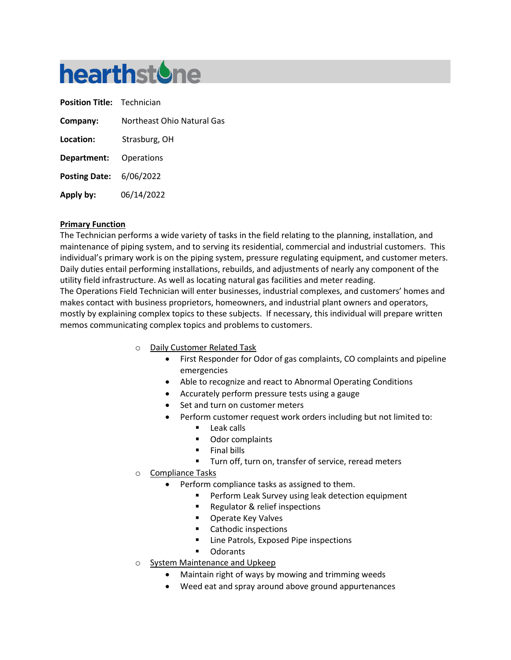# **hearthstone**

| <b>Position Title: Technician</b> |                            |
|-----------------------------------|----------------------------|
| Company:                          | Northeast Ohio Natural Gas |
| Location:                         | Strasburg, OH              |
| Department:                       | Operations                 |
| <b>Posting Date: 6/06/2022</b>    |                            |
| Apply by:                         | 06/14/2022                 |

## **Primary Function**

The Technician performs a wide variety of tasks in the field relating to the planning, installation, and maintenance of piping system, and to serving its residential, commercial and industrial customers. This individual's primary work is on the piping system, pressure regulating equipment, and customer meters. Daily duties entail performing installations, rebuilds, and adjustments of nearly any component of the utility field infrastructure. As well as locating natural gas facilities and meter reading. The Operations Field Technician will enter businesses, industrial complexes, and customers' homes and makes contact with business proprietors, homeowners, and industrial plant owners and operators, mostly by explaining complex topics to these subjects. If necessary, this individual will prepare written memos communicating complex topics and problems to customers.

- o Daily Customer Related Task
	- First Responder for Odor of gas complaints, CO complaints and pipeline emergencies
	- Able to recognize and react to Abnormal Operating Conditions
	- Accurately perform pressure tests using a gauge
	- Set and turn on customer meters
	- Perform customer request work orders including but not limited to:
		- **Leak calls**
		- **Odor complaints**
		- Final bills
		- Turn off, turn on, transfer of service, reread meters
- o Compliance Tasks
	- Perform compliance tasks as assigned to them.
		- **Perform Leak Survey using leak detection equipment**
		- **Regulator & relief inspections**
		- **Derate Key Valves**
		- Cathodic inspections
		- Line Patrols, Exposed Pipe inspections
		- **Odorants**
- o System Maintenance and Upkeep
	- Maintain right of ways by mowing and trimming weeds
	- Weed eat and spray around above ground appurtenances